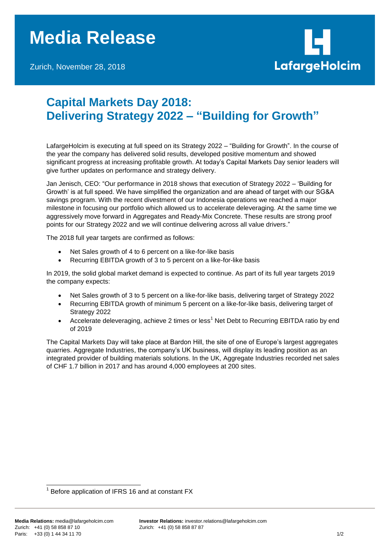## **Media Release**

Zurich, November 28, 2018



## **Capital Markets Day 2018: Delivering Strategy 2022 – "Building for Growth"**

LafargeHolcim is executing at full speed on its Strategy 2022 – "Building for Growth". In the course of the year the company has delivered solid results, developed positive momentum and showed significant progress at increasing profitable growth. At today's Capital Markets Day senior leaders will give further updates on performance and strategy delivery.

Jan Jenisch, CEO: "Our performance in 2018 shows that execution of Strategy 2022 – 'Building for Growth' is at full speed. We have simplified the organization and are ahead of target with our SG&A savings program. With the recent divestment of our Indonesia operations we reached a major milestone in focusing our portfolio which allowed us to accelerate deleveraging. At the same time we aggressively move forward in Aggregates and Ready-Mix Concrete. These results are strong proof points for our Strategy 2022 and we will continue delivering across all value drivers."

The 2018 full year targets are confirmed as follows:

- Net Sales growth of 4 to 6 percent on a like-for-like basis
- Recurring EBITDA growth of 3 to 5 percent on a like-for-like basis

In 2019, the solid global market demand is expected to continue. As part of its full year targets 2019 the company expects:

- Net Sales growth of 3 to 5 percent on a like-for-like basis, delivering target of Strategy 2022
- Recurring EBITDA growth of minimum 5 percent on a like-for-like basis, delivering target of Strategy 2022
- Accelerate deleveraging, achieve 2 times or less<sup>1</sup> Net Debt to Recurring EBITDA ratio by end of 2019

The Capital Markets Day will take place at Bardon Hill, the site of one of Europe's largest aggregates quarries. Aggregate Industries, the company's UK business, will display its leading position as an integrated provider of building materials solutions. In the UK, Aggregate Industries recorded net sales of CHF 1.7 billion in 2017 and has around 4,000 employees at 200 sites.

l 1 Before application of IFRS 16 and at constant FX